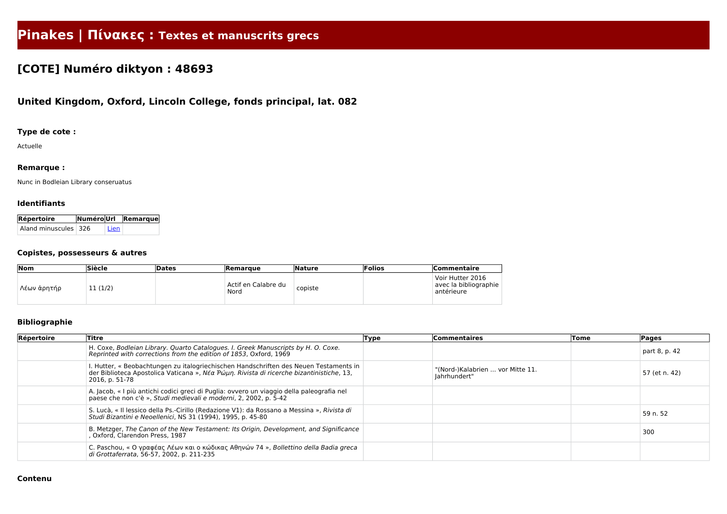# **Pinakes | Πίνακες : Textes et manuscrits grecs**

## **[COTE] Numéro diktyon : 48693**

### **United Kingdom, Oxford, Lincoln College, fonds principal, lat. 082**

#### **Type de cote :**

Actuelle

#### **Remarque :**

Nunc in Bodleian Library conseruatus

#### **Identifiants**

| Répertoire             |          | NuméroUrl Remarque |  |  |
|------------------------|----------|--------------------|--|--|
| Aland minuscules   326 | ' Lien . |                    |  |  |

#### **Copistes, possesseurs & autres**

| Nom         | <b>Siècle</b> | Dates | <b>Remarque</b>             | Nature  | Folios | <b> Commentaire</b>                                     |
|-------------|---------------|-------|-----------------------------|---------|--------|---------------------------------------------------------|
| Λέων ἀρητήρ | 11(1/2)       |       | Actif en Calabre du<br>Nord | copiste |        | Voir Hutter 2016<br>avec la bibliographie<br>antérieure |

#### **Bibliographie**

| Répertoire | Titre                                                                                                                                                                                               | <b>Type</b> | <b>Commentaires</b>                              | Tome | Pages         |
|------------|-----------------------------------------------------------------------------------------------------------------------------------------------------------------------------------------------------|-------------|--------------------------------------------------|------|---------------|
|            | H. Coxe, Bodleian Library. Quarto Catalogues. I. Greek Manuscripts by H. O. Coxe.<br>Reprinted with corrections from the edition of 1853, Oxford, 1969                                              |             |                                                  |      | part 8, p. 42 |
|            | I. Hutter, « Beobachtungen zu italogriechischen Handschriften des Neuen Testaments in<br>der Biblioteca Apostolica Vaticana », Nέα Ρώμη. Rivista di ricerche bizantinistiche, 13,<br>2016, p. 51-78 |             | "(Nord-)Kalabrien  vor Mitte 11.<br>Jahrhundert" |      | 57 (et n. 42) |
|            | A. Jacob, « I più antichi codici greci di Puglia: ovvero un viaggio della paleografia nel<br>paese che non c'è », Studi medievali e moderni, 2, 2002, p. 5-42                                       |             |                                                  |      |               |
|            | S. Lucà, « Il lessico della Ps.-Cirillo (Redazione V1): da Rossano a Messina », Rivista di<br>Studi Bizantini e Neoellenici, NS 31 (1994), 1995, p. 45-80                                           |             |                                                  |      | 59 n. 52      |
|            | B. Metzger, The Canon of the New Testament: Its Origin, Development, and Significance<br>, Oxford, Clarendon Press, 1987                                                                            |             |                                                  |      | 300           |
|            | C. Paschou, «Ο γραφέας Λέων και ο κώδικας Αθηνών 74», Bollettino della Badia greca<br>di Grottaferrata, 56-57, 2002, p. 211-235                                                                     |             |                                                  |      |               |